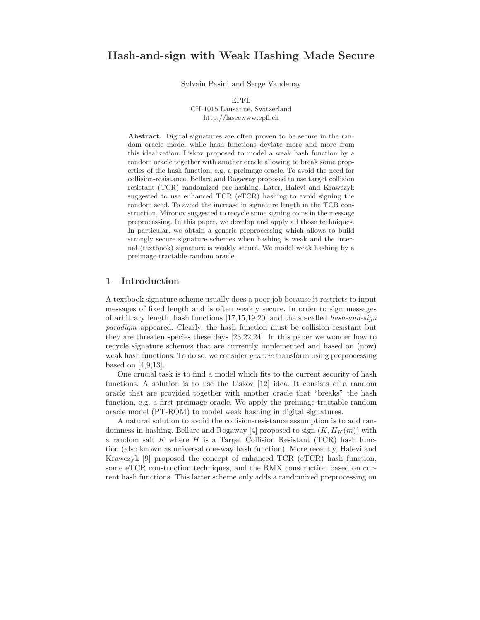# Hash-and-sign with Weak Hashing Made Secure

Sylvain Pasini and Serge Vaudenay

EPFL CH-1015 Lausanne, Switzerland http://lasecwww.epfl.ch

Abstract. Digital signatures are often proven to be secure in the random oracle model while hash functions deviate more and more from this idealization. Liskov proposed to model a weak hash function by a random oracle together with another oracle allowing to break some properties of the hash function, e.g. a preimage oracle. To avoid the need for collision-resistance, Bellare and Rogaway proposed to use target collision resistant (TCR) randomized pre-hashing. Later, Halevi and Krawczyk suggested to use enhanced TCR (eTCR) hashing to avoid signing the random seed. To avoid the increase in signature length in the TCR construction, Mironov suggested to recycle some signing coins in the message preprocessing. In this paper, we develop and apply all those techniques. In particular, we obtain a generic preprocessing which allows to build strongly secure signature schemes when hashing is weak and the internal (textbook) signature is weakly secure. We model weak hashing by a preimage-tractable random oracle.

### 1 Introduction

A textbook signature scheme usually does a poor job because it restricts to input messages of fixed length and is often weakly secure. In order to sign messages of arbitrary length, hash functions [17,15,19,20] and the so-called hash-and-sign paradigm appeared. Clearly, the hash function must be collision resistant but they are threaten species these days [23,22,24]. In this paper we wonder how to recycle signature schemes that are currently implemented and based on (now) weak hash functions. To do so, we consider *generic* transform using preprocessing based on [4,9,13].

One crucial task is to find a model which fits to the current security of hash functions. A solution is to use the Liskov [12] idea. It consists of a random oracle that are provided together with another oracle that "breaks" the hash function, e.g. a first preimage oracle. We apply the preimage-tractable random oracle model (PT-ROM) to model weak hashing in digital signatures.

A natural solution to avoid the collision-resistance assumption is to add randomness in hashing. Bellare and Rogaway [4] proposed to sign  $(K, H_K(m))$  with a random salt  $K$  where  $H$  is a Target Collision Resistant (TCR) hash function (also known as universal one-way hash function). More recently, Halevi and Krawczyk [9] proposed the concept of enhanced TCR (eTCR) hash function, some eTCR construction techniques, and the RMX construction based on current hash functions. This latter scheme only adds a randomized preprocessing on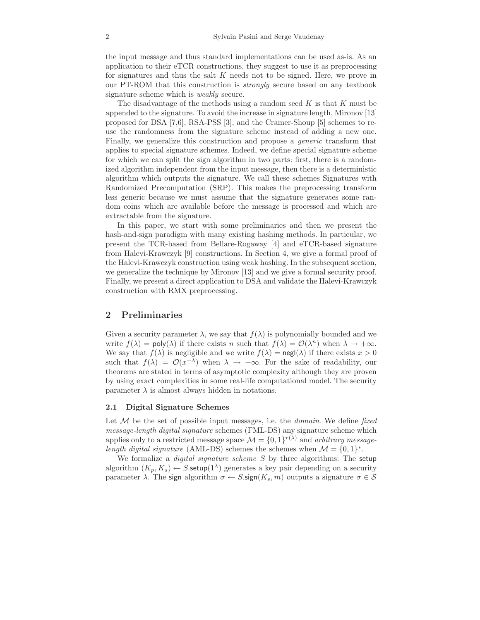the input message and thus standard implementations can be used as-is. As an application to their eTCR constructions, they suggest to use it as preprocessing for signatures and thus the salt K needs not to be signed. Here, we prove in our PT-ROM that this construction is strongly secure based on any textbook signature scheme which is weakly secure.

The disadvantage of the methods using a random seed  $K$  is that  $K$  must be appended to the signature. To avoid the increase in signature length, Mironov [13] proposed for DSA [7,6], RSA-PSS [3], and the Cramer-Shoup [5] schemes to reuse the randomness from the signature scheme instead of adding a new one. Finally, we generalize this construction and propose a generic transform that applies to special signature schemes. Indeed, we define special signature scheme for which we can split the sign algorithm in two parts: first, there is a randomized algorithm independent from the input message, then there is a deterministic algorithm which outputs the signature. We call these schemes Signatures with Randomized Precomputation (SRP). This makes the preprocessing transform less generic because we must assume that the signature generates some random coins which are available before the message is processed and which are extractable from the signature.

In this paper, we start with some preliminaries and then we present the hash-and-sign paradigm with many existing hashing methods. In particular, we present the TCR-based from Bellare-Rogaway [4] and eTCR-based signature from Halevi-Krawczyk [9] constructions. In Section 4, we give a formal proof of the Halevi-Krawczyk construction using weak hashing. In the subsequent section, we generalize the technique by Mironov [13] and we give a formal security proof. Finally, we present a direct application to DSA and validate the Halevi-Krawczyk construction with RMX preprocessing.

## 2 Preliminaries

Given a security parameter  $\lambda$ , we say that  $f(\lambda)$  is polynomially bounded and we write  $f(\lambda) = \text{poly}(\lambda)$  if there exists n such that  $f(\lambda) = \mathcal{O}(\lambda^n)$  when  $\lambda \to +\infty$ . We say that  $f(\lambda)$  is negligible and we write  $f(\lambda) = \text{negl}(\lambda)$  if there exists  $x > 0$ such that  $f(\lambda) = \mathcal{O}(x^{-\lambda})$  when  $\lambda \to +\infty$ . For the sake of readability, our theorems are stated in terms of asymptotic complexity although they are proven by using exact complexities in some real-life computational model. The security parameter  $\lambda$  is almost always hidden in notations.

### 2.1 Digital Signature Schemes

Let  $M$  be the set of possible input messages, i.e. the *domain*. We define fixed message-length digital signature schemes (FML-DS) any signature scheme which applies only to a restricted message space  $\mathcal{M} = \{0, 1\}^{r(\lambda)}$  and arbitrary messagelength digital signature (AML-DS) schemes the schemes when  $\mathcal{M} = \{0, 1\}^*$ .

We formalize a *digital signature scheme*  $S$  by three algorithms: The setup algorithm  $(K_p, K_s) \leftarrow S$ **.setup** $(1^{\lambda})$  generates a key pair depending on a security parameter  $\lambda$ . The sign algorithm  $\sigma \leftarrow S$ . sign $(K_s, m)$  outputs a signature  $\sigma \in S$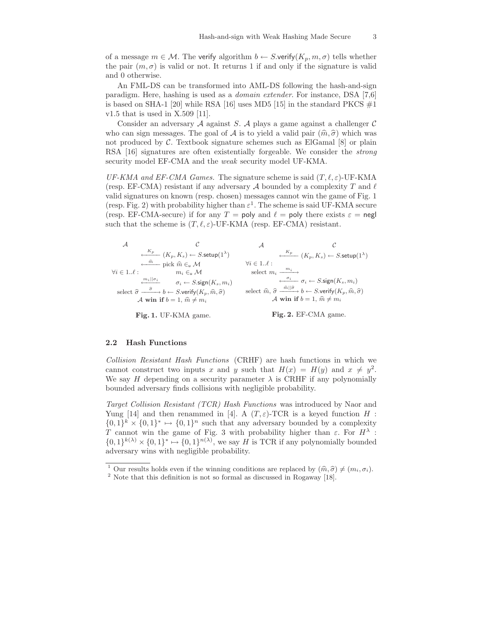of a message  $m \in \mathcal{M}$ . The verify algorithm  $b \leftarrow S$ .verify $(K_p, m, \sigma)$  tells whether the pair  $(m, \sigma)$  is valid or not. It returns 1 if and only if the signature is valid and 0 otherwise.

An FML-DS can be transformed into AML-DS following the hash-and-sign paradigm. Here, hashing is used as a domain extender. For instance, DSA [7,6] is based on SHA-1 [20] while RSA [16] uses MD5 [15] in the standard PKCS  $\#1$ v1.5 that is used in X.509 [11].

Consider an adversary A against S. A plays a game against a challenger  $\mathcal C$ who can sign messages. The goal of A is to yield a valid pair  $(\hat{m}, \hat{\sigma})$  which was not produced by  $\mathcal{C}$ . Textbook signature schemes such as ElGamal [8] or plain RSA [16] signatures are often existentially forgeable. We consider the strong security model EF-CMA and the weak security model UF-KMA.

UF-KMA and EF-CMA Games. The signature scheme is said  $(T, \ell, \varepsilon)$ -UF-KMA (resp. EF-CMA) resistant if any adversary A bounded by a complexity T and  $\ell$ valid signatures on known (resp. chosen) messages cannot win the game of Fig. 1 (resp. Fig. 2) with probability higher than  $\varepsilon^1$ . The scheme is said UF-KMA secure (resp. EF-CMA-secure) if for any  $T =$  poly and  $\ell =$  poly there exists  $\varepsilon =$  negl such that the scheme is  $(T, \ell, \varepsilon)$ -UF-KMA (resp. EF-CMA) resistant.



#### 2.2 Hash Functions

Collision Resistant Hash Functions (CRHF) are hash functions in which we cannot construct two inputs x and y such that  $H(x) = H(y)$  and  $x \neq y^2$ . We say H depending on a security parameter  $\lambda$  is CRHF if any polynomially bounded adversary finds collisions with negligible probability.

Target Collision Resistant (TCR) Hash Functions was introduced by Naor and Yung [14] and then renammed in [4]. A  $(T, \varepsilon)$ -TCR is a keyed function H :  $\{0,1\}^k \times \{0,1\}^k \mapsto \{0,1\}^n$  such that any adversary bounded by a complexity T cannot win the game of Fig. 3 with probability higher than  $\varepsilon$ . For  $H^{\lambda}$ :  $\{0,1\}^{k(\lambda)} \times \{0,1\}^* \mapsto \{0,1\}^{n(\lambda)}$ , we say H is TCR if any polynomially bounded adversary wins with negligible probability.

<sup>&</sup>lt;sup>1</sup> Our results holds even if the winning conditions are replaced by  $(\hat{m}, \hat{\sigma}) \neq (m_i, \sigma_i)$ .

<sup>2</sup> Note that this definition is not so formal as discussed in Rogaway [18].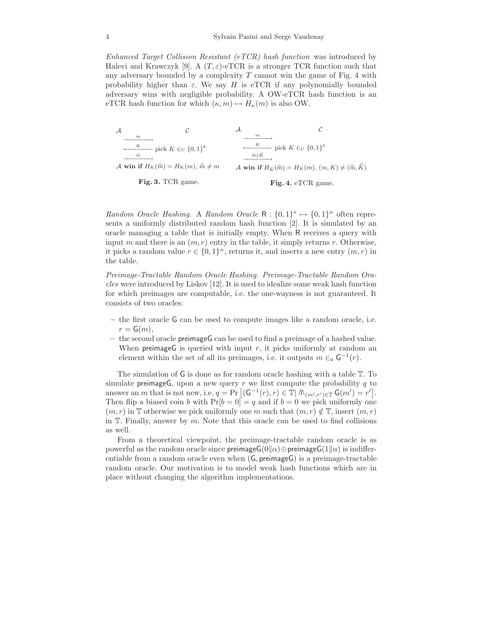Enhanced Target Collision Resistant (eTCR) hash function was introduced by Halevi and Krawczyk [9]. A  $(T, \varepsilon)$ -eTCR is a stronger TCR function such that any adversary bounded by a complexity  $T$  cannot win the game of Fig. 4 with probability higher than  $\varepsilon$ . We say H is eTCR if any polynomially bounded adversary wins with negligible probability. A OW-eTCR hash function is an eTCR hash function for which  $(\kappa, m) \mapsto H_{\kappa}(m)$  is also OW.

$$
\begin{array}{ccc}\n\mathcal{A} & \xrightarrow{m} & \mathcal{C} & \mathcal{A} & \xrightarrow{m} & \mathcal{C} \\
\hline\n\frac{K}{\hat{m}} & \text{pick } K \in_U \{0,1\}^k & \xrightarrow{\overbrace{K} \\ \hline\n\hat{m}} & \text{pick } K \in_U \{0,1\}^k \\
\hline\n\mathcal{A} & \text{win if } H_K(\hat{m}) = H_K(m), \, \hat{m} \neq m & \mathcal{A} & \text{win if } H_{\hat{K}}(\hat{m}) = H_K(m), \, (m, K) \neq (\hat{m}, \hat{K}) \\
\end{array}
$$
\n**Fig. 3.** TCR game.

\n**Fig. 4.** eTCR game.

Random Oracle Hashing. A Random Oracle  $R: \{0,1\}^* \mapsto \{0,1\}^n$  often represents a uniformly distributed random hash function [2]. It is simulated by an oracle managing a table that is initially empty. When R receives a query with input m and there is an  $(m, r)$  entry in the table, it simply returns r. Otherwise, it picks a random value  $r \in \{0,1\}^n$ , returns it, and inserts a new entry  $(m, r)$  in the table.

Preimage-Tractable Random Oracle Hashing. Preimage-Tractable Random Oracles were introduced by Liskov [12]. It is used to idealize some weak hash function for which preimages are computable, i.e. the one-wayness is not guaranteed. It consists of two oracles:

- the first oracle G can be used to compute images like a random oracle, i.e.  $r = \mathsf{G}(m),$
- the second oracle preimageG can be used to find a preimage of a hashed value. When preimageG is queried with input  $r$ , it picks uniformly at random an element within the set of all its preimages, i.e. it outputs  $m \in \mathfrak{g}^{-1}(r)$ .

The simulation of G is done as for random oracle hashing with a table T. To simulate preimageG, upon a new query  $r$  we first compute the probability  $q$  to answer an *m* that is not new, i.e.  $q = \Pr \left[ (\mathsf{G}^{-1}(r), r) \in \mathbb{T} \mid \mathbb{M}_{(m',r') \in \mathbb{T}} \mathsf{G}(m') = r' \right].$ Then flip a biased coin b with  $Pr[b = 0] = q$  and if  $b = 0$  we pick uniformly one  $(m, r)$  in T otherwise we pick uniformly one m such that  $(m, r) \notin \mathbb{T}$ , insert  $(m, r)$ in  $T$ . Finally, answer by  $m$ . Note that this oracle can be used to find collisions as well.

From a theoretical viewpoint, the preimage-tractable random oracle is as powerful as the random oracle since preimageG(0|| $\alpha$ ) ⊕preimageG(1|| $\alpha$ ) is indifferentiable from a random oracle even when  $(G, \text{preimage}G)$  is a preimage-tractable random oracle. Our motivation is to model weak hash functions which are in place without changing the algorithm implementations.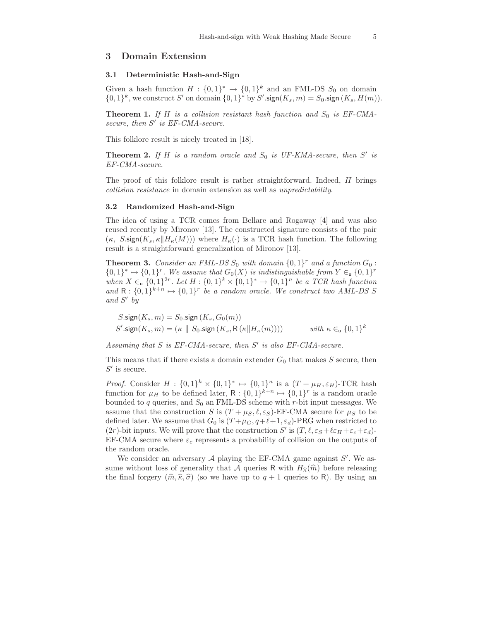## 3 Domain Extension

#### 3.1 Deterministic Hash-and-Sign

Given a hash function  $H : \{0,1\}^* \to \{0,1\}^k$  and an FML-DS  $S_0$  on domain  $\{0,1\}^k$ , we construct S' on domain  $\{0,1\}^*$  by S' sign $(K_s, m) = S_0$  sign  $(K_s, H(m))$ .

**Theorem 1.** If H is a collision resistant hash function and  $S_0$  is EF-CMAsecure, then S' is EF-CMA-secure.

This folklore result is nicely treated in [18].

**Theorem 2.** If H is a random oracle and  $S_0$  is UF-KMA-secure, then S' is EF-CMA-secure.

The proof of this folklore result is rather straightforward. Indeed, H brings collision resistance in domain extension as well as unpredictability.

#### 3.2 Randomized Hash-and-Sign

The idea of using a TCR comes from Bellare and Rogaway [4] and was also reused recently by Mironov [13]. The constructed signature consists of the pair  $(\kappa, S.\text{sign}(K_s, \kappa||H_{\kappa}(M)))$  where  $H_{\kappa}(\cdot)$  is a TCR hash function. The following result is a straightforward generalization of Mironov [13].

**Theorem 3.** Consider an FML-DS  $S_0$  with domain  $\{0,1\}^r$  and a function  $G_0$ :  ${0,1}^* \mapsto {0,1}^r$ . We assume that  $G_0(X)$  is indistinguishable from  $Y \in \{0,1\}^r$ when  $X \in \mathbb{C} \{0,1\}^{2r}$ . Let  $H : \{0,1\}^k \times \{0,1\}^* \mapsto \{0,1\}^n$  be a TCR hash function and  $R: \{0,1\}^{k+n} \mapsto \{0,1\}^r$  be a random oracle. We construct two AML-DS S and  $S'$  by

$$
S.\text{sign}(K_s, m) = S_0.\text{sign}(K_s, G_0(m))
$$
  

$$
S'.\text{sign}(K_s, m) = (\kappa \parallel S_0.\text{sign}(K_s, R(\kappa \parallel H_\kappa(m)))) \qquad \text{with } \kappa \in \mathbf{u} \{0, 1\}^k
$$

Assuming that  $S$  is  $EF\text{-}CMA\text{-}secure$ , then  $S'$  is also  $EF\text{-}CMA\text{-}secure$ .

This means that if there exists a domain extender  $G_0$  that makes S secure, then  $S'$  is secure.

*Proof.* Consider  $H: \{0,1\}^k \times \{0,1\}^* \mapsto \{0,1\}^n$  is a  $(T + \mu_H, \varepsilon_H)$ -TCR hash function for  $\mu_H$  to be defined later,  $R: \{0,1\}^{k+n} \mapsto \{0,1\}^r$  is a random oracle bounded to  $q$  queries, and  $S_0$  an FML-DS scheme with r-bit input messages. We assume that the construction S is  $(T + \mu_S, \ell, \varepsilon_S)$ -EF-CMA secure for  $\mu_S$  to be defined later. We assume that  $G_0$  is  $(T + \mu_G, q + \ell + 1, \varepsilon_d)$ -PRG when restricted to (2r)-bit inputs. We will prove that the construction S' is  $(T, \ell, \varepsilon_S + \ell \varepsilon_H + \varepsilon_c + \varepsilon_d)$ -EF-CMA secure where  $\varepsilon_c$  represents a probability of collision on the outputs of the random oracle.

We consider an adversary  $A$  playing the EF-CMA game against  $S'$ . We assume without loss of generality that A queries R with  $H_{\widehat{\kappa}}(\widehat{m})$  before releasing the final forgery  $(\hat{m}, \hat{\kappa}, \hat{\sigma})$  (so we have up to  $q + 1$  queries to R). By using an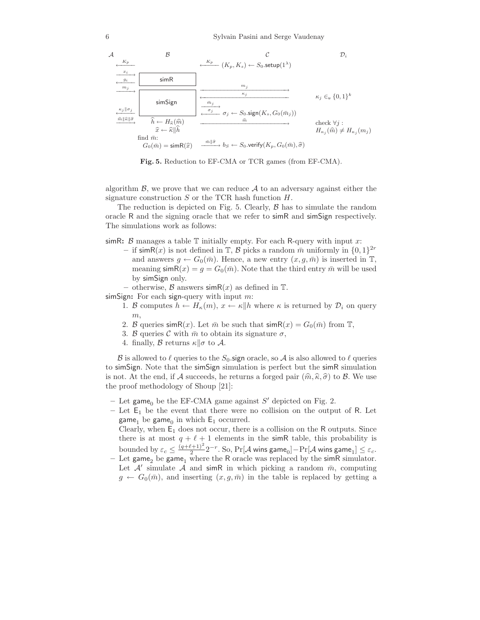

Fig. 5. Reduction to EF-CMA or TCR games (from EF-CMA).

algorithm  $\beta$ , we prove that we can reduce  $\mathcal A$  to an adversary against either the signature construction  $S$  or the TCR hash function  $H$ .

The reduction is depicted on Fig. 5. Clearly,  $\beta$  has to simulate the random oracle R and the signing oracle that we refer to simR and simSign respectively. The simulations work as follows:

simR:  $\beta$  manages a table  $\mathbb T$  initially empty. For each R-query with input x:

- if  $\operatorname{simR}(x)$  is not defined in  $\mathbb{T}$ ,  $\mathcal{B}$  picks a random  $\bar{m}$  uniformly in  $\{0, 1\}^{2r}$ and answers  $g \leftarrow G_0(\bar{m})$ . Hence, a new entry  $(x, g, \bar{m})$  is inserted in  $\mathbb{T}$ , meaning simR(x) =  $g = G_0(\bar{m})$ . Note that the third entry  $\bar{m}$  will be used by simSign only.

– otherwise,  $\beta$  answers simR(x) as defined in T.

simSign: For each sign-query with input  $m$ :

- 1. B computes  $h \leftarrow H_{\kappa}(m)$ ,  $x \leftarrow \kappa \| h$  where  $\kappa$  is returned by  $\mathcal{D}_i$  on query  $m,$
- 2. B queries simR(x). Let  $\bar{m}$  be such that simR(x) =  $G_0(\bar{m})$  from  $\mathbb{T}$ ,
- 3. B queries C with  $\bar{m}$  to obtain its signature  $\sigma$ ,
- 4. finally,  $\beta$  returns  $\kappa || \sigma$  to  $\mathcal{A}$ .

B is allowed to  $\ell$  queries to the  $S_0$  sign oracle, so A is also allowed to  $\ell$  queries to simSign. Note that the simSign simulation is perfect but the simR simulation is not. At the end, if A succeeds, he returns a forged pair  $(\hat{m}, \hat{\kappa}, \hat{\sigma})$  to B. We use the proof methodology of Shoup [21]:

- Let  $\text{game}_0$  be the EF-CMA game against  $S'$  depicted on Fig. 2.
- Let  $E_1$  be the event that there were no collision on the output of R. Let game $_1$  be game $_0$  in which  ${\sf E}_1$  occurred.

Clearly, when  $E_1$  does not occur, there is a collision on the R outputs. Since there is at most  $q + \ell + 1$  elements in the simR table, this probability is bounded by  $\varepsilon_c \leq \frac{(q+\ell+1)^2}{2}$  $\frac{\ell+1)^2}{2}$ 2<sup>−r</sup>. So, Pr[*A* wins game<sub>0</sub>] − Pr[*A* wins game<sub>1</sub>] ≤ ε<sub>c</sub>.

– Let game<sub>2</sub> be game<sub>1</sub> where the R oracle was replaced by the simR simulator. Let  $\mathcal{A}'$  simulate  $\mathcal{A}$  and simR in which picking a random  $\bar{m}$ , computing  $g \leftarrow G_0(\bar{m})$ , and inserting  $(x, g, \bar{m})$  in the table is replaced by getting a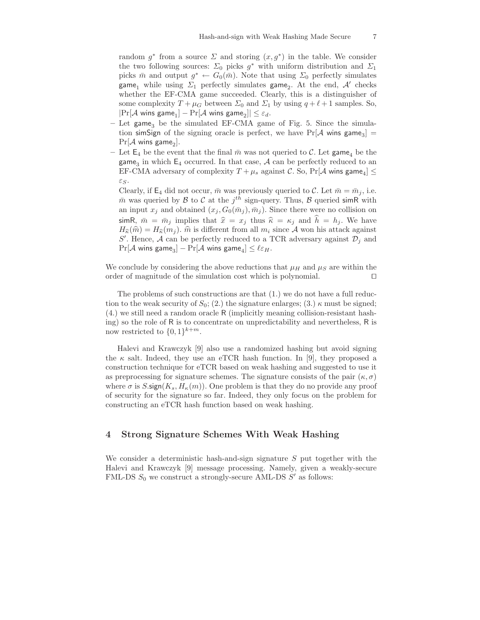random  $g^*$  from a source  $\Sigma$  and storing  $(x, g^*)$  in the table. We consider the two following sources:  $\Sigma_0$  picks  $g^*$  with uniform distribution and  $\Sigma_1$ picks  $\bar{m}$  and output  $g^* \leftarrow G_0(\bar{m})$ . Note that using  $\Sigma_0$  perfectly simulates game<sub>1</sub> while using  $\Sigma_1$  perfectly simulates game<sub>2</sub>. At the end, A' checks whether the EF-CMA game succeeded. Clearly, this is a distinguisher of some complexity  $T + \mu_G$  between  $\Sigma_0$  and  $\Sigma_1$  by using  $q + \ell + 1$  samples. So,  $|\mathrm{Pr}[\mathcal{A}$  wins game<sub>1</sub> $]-\mathrm{Pr}[\mathcal{A}$  wins game<sub>2</sub> $]|\leq \varepsilon_d$ .

- Let game<sub>3</sub> be the simulated EF-CMA game of Fig. 5. Since the simulation simSign of the signing oracle is perfect, we have  $Pr[\mathcal{A}]$  wins game<sub>3</sub> =  $Pr[\mathcal{A}$  wins game<sub>2</sub>].
- Let  $E_4$  be the event that the final  $\bar{m}$  was not queried to C. Let game<sub>4</sub> be the game<sub>3</sub> in which  $E_4$  occurred. In that case,  $\mathcal A$  can be perfectly reduced to an EF-CMA adversary of complexity  $T + \mu_s$  against  $C$ . So,  $Pr[\mathcal{A}$  wins game<sub>4</sub> $] \leq$  $\varepsilon_S.$

Clearly, if  $\mathsf{E}_4$  did not occur,  $\bar{m}$  was previously queried to  $\mathcal{C}$ . Let  $\bar{m} = \bar{m}_j$ , i.e.  $\bar{m}$  was queried by  $\beta$  to  $\mathcal{C}$  at the  $j^{th}$  sign-query. Thus,  $\beta$  queried simR with an input  $x_j$  and obtained  $(x_j, G_0(\bar{m}_j), \bar{m}_j)$ . Since there were no collision on simR,  $\bar{m} = \bar{m}_i$  implies that  $\hat{x} = x_i$  thus  $\hat{\kappa} = \kappa_i$  and  $\hat{h} = h_i$ . We have  $H_{\widehat{\kappa}}(\widehat{m}) = H_{\widehat{\kappa}}(m_i)$ .  $\widehat{m}$  is different from all  $m_i$  since A won his attack against  $S'$  . Hence,  $\mathcal A$  can be perfectly reduced to a TCR adversary against  $\mathcal D_j$  and  $Pr[\mathcal{A}$  wins game<sub>3</sub>] —  $Pr[\mathcal{A}$  wins game<sub>4</sub>]  $\leq \ell \varepsilon_H$ .

We conclude by considering the above reductions that  $\mu_H$  and  $\mu_S$  are within the order of magnitude of the simulation cost which is polynomial. ⊓⊔

The problems of such constructions are that (1.) we do not have a full reduction to the weak security of  $S_0$ ; (2.) the signature enlarges; (3.)  $\kappa$  must be signed; (4.) we still need a random oracle R (implicitly meaning collision-resistant hashing) so the role of R is to concentrate on unpredictability and nevertheless, R is now restricted to  $\{0,1\}^{k+m}$ .

Halevi and Krawczyk [9] also use a randomized hashing but avoid signing the  $\kappa$  salt. Indeed, they use an eTCR hash function. In [9], they proposed a construction technique for eTCR based on weak hashing and suggested to use it as preprocessing for signature schemes. The signature consists of the pair  $(\kappa, \sigma)$ where  $\sigma$  is  $S.\text{sign}(K_s, H_{\kappa}(m))$ . One problem is that they do no provide any proof of security for the signature so far. Indeed, they only focus on the problem for constructing an eTCR hash function based on weak hashing.

## 4 Strong Signature Schemes With Weak Hashing

We consider a deterministic hash-and-sign signature  $S$  put together with the Halevi and Krawczyk [9] message processing. Namely, given a weakly-secure FML-DS  $S_0$  we construct a strongly-secure AML-DS  $S'$  as follows: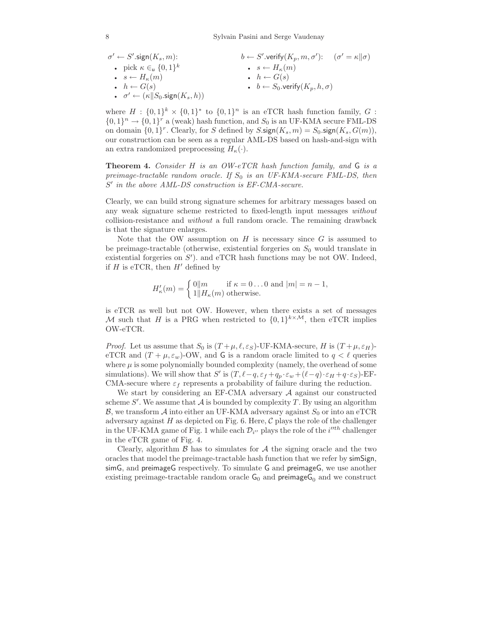8 Sylvain Pasini and Serge Vaudenay

 $\sigma' \leftarrow S'.\mathsf{sign}(K_s,m)$ : • pick  $\kappa \in \{0,1\}^k$ •  $s \leftarrow H_{\kappa}(m)$ •  $h \leftarrow G(s)$ •  $\sigma' \leftarrow (\kappa \| S_0.\text{sign}(K_s, h))$  $b \leftarrow S'.\mathsf{verify}(K_p,m,\sigma')\colon\quad (\sigma' = \kappa \|\sigma)$ •  $s \leftarrow H_{\kappa}(m)$ •  $h \leftarrow G(s)$ •  $b \leftarrow S_0$ . verify  $(K_p, h, \sigma)$ 

where  $H : \{0,1\}^k \times \{0,1\}^*$  to  $\{0,1\}^n$  is an eTCR hash function family,  $G$ :  $\{0,1\}^n \rightarrow \{0,1\}^r$  a (weak) hash function, and  $S_0$  is an UF-KMA secure FML-DS on domain  $\{0,1\}^r$ . Clearly, for S defined by  $S.\text{sign}(K_s,m) = S_0.\text{sign}(K_s, G(m)),$ our construction can be seen as a regular AML-DS based on hash-and-sign with an extra randomized preprocessing  $H_{\kappa}(\cdot)$ .

Theorem 4. Consider H is an OW-eTCR hash function family, and G is a preimage-tractable random oracle. If  $S_0$  is an UF-KMA-secure FML-DS, then S' in the above AML-DS construction is EF-CMA-secure.

Clearly, we can build strong signature schemes for arbitrary messages based on any weak signature scheme restricted to fixed-length input messages without collision-resistance and without a full random oracle. The remaining drawback is that the signature enlarges.

Note that the OW assumption on  $H$  is necessary since  $G$  is assumed to be preimage-tractable (otherwise, existential forgeries on  $S_0$  would translate in existential forgeries on  $S'$ ). and eTCR hash functions may be not OW. Indeed, if  $H$  is eTCR, then  $H'$  defined by

$$
H'_{\kappa}(m) = \begin{cases} 0 \Vert m & \text{if } \kappa = 0 \dots 0 \text{ and } |m| = n - 1, \\ 1 \Vert H_{\kappa}(m) & \text{otherwise.} \end{cases}
$$

is eTCR as well but not OW. However, when there exists a set of messages M such that H is a PRG when restricted to  $\{0,1\}^{k \times M}$ , then eTCR implies OW-eTCR.

*Proof.* Let us assume that  $S_0$  is  $(T + \mu, \ell, \varepsilon_S)$ -UF-KMA-secure, H is  $(T + \mu, \varepsilon_H)$ eTCR and  $(T + \mu, \varepsilon_w)$ -OW, and G is a random oracle limited to  $q < \ell$  queries where  $\mu$  is some polynomially bounded complexity (namely, the overhead of some simulations). We will show that S' is  $(T, \ell-q, \varepsilon_f+q_p \cdot \varepsilon_w + (\ell-q) \cdot \varepsilon_H+q \cdot \varepsilon_S)$ -EF-CMA-secure where  $\varepsilon_f$  represents a probability of failure during the reduction.

We start by considering an EF-CMA adversary  $A$  against our constructed scheme  $S'$ . We assume that  $A$  is bounded by complexity  $T$ . By using an algorithm  $\mathcal{B}$ , we transform  $\mathcal{A}$  into either an UF-KMA adversary against  $S_0$  or into an eTCR adversary against  $H$  as depicted on Fig. 6. Here,  $\mathcal C$  plays the role of the challenger in the UF-KMA game of Fig. 1 while each  $\mathcal{D}_{i^{\prime\prime}}$  plays the role of the  $i^{\prime\prime th}$  challenger in the eTCR game of Fig. 4.

Clearly, algorithm  $\beta$  has to simulates for  $\mathcal A$  the signing oracle and the two oracles that model the preimage-tractable hash function that we refer by simSign, simG, and preimageG respectively. To simulate G and preimageG, we use another existing preimage-tractable random oracle  $G_0$  and preimage $G_0$  and we construct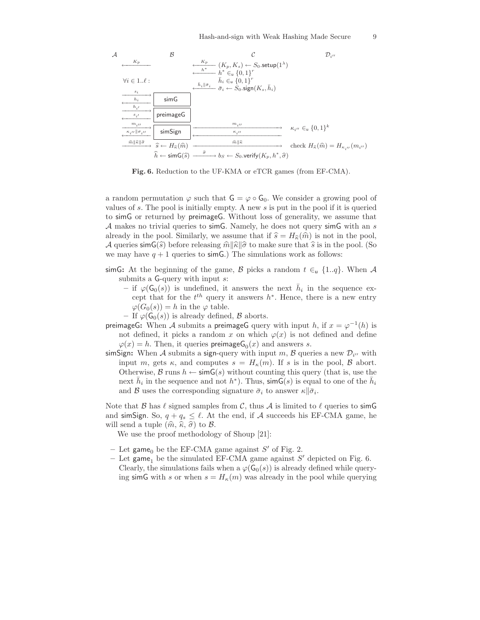

Fig. 6. Reduction to the UF-KMA or eTCR games (from EF-CMA).

a random permutation  $\varphi$  such that  $\mathsf{G} = \varphi \circ \mathsf{G}_0$ . We consider a growing pool of values of s. The pool is initially empty. A new s is put in the pool if it is queried to simG or returned by preimageG. Without loss of generality, we assume that A makes no trivial queries to simG. Namely, he does not query simG with an  $s$ already in the pool. Similarly, we assume that if  $\hat{s} = H_{\hat{\kappa}}(\hat{m})$  is not in the pool, A queries sim  $G(\hat{s})$  before releasing  $\hat{m} \|\hat{\kappa}\| \hat{\sigma}$  to make sure that  $\hat{s}$  is in the pool. (So we may have  $q + 1$  queries to simG.) The simulations work as follows:

- simG: At the beginning of the game, B picks a random  $t \in_u \{1..q\}$ . When A submits a G-query with input s:
	- if  $\varphi(\mathsf{G}_{0}(s))$  is undefined, it answers the next  $\bar{h}_{i}$  in the sequence except that for the  $t^{th}$  query it answers  $h^*$ . Hence, there is a new entry  $\varphi(G_0(s)) = h$  in the  $\varphi$  table.
	- If  $\varphi(\mathsf{G}_0(s))$  is already defined,  $\beta$  aborts.
- preimageG: When A submits a preimageG query with input h, if  $x = \varphi^{-1}(h)$  is not defined, it picks a random x on which  $\varphi(x)$  is not defined and define  $\varphi(x) = h$ . Then, it queries preimage $G_0(x)$  and answers s.
- simSign: When A submits a sign-query with input  $m$ , B queries a new  $\mathcal{D}_{i''}$  with input m, gets  $\kappa$ , and computes  $s = H_{\kappa}(m)$ . If s is in the pool, B abort. Otherwise,  $\mathcal{B}$  runs  $h \leftarrow \text{simG}(s)$  without counting this query (that is, use the next  $\bar{h}_i$  in the sequence and not  $h^*$ ). Thus,  $\mathsf{simG}(s)$  is equal to one of the  $\bar{h}_i$ and B uses the corresponding signature  $\bar{\sigma}_i$  to answer  $\kappa || \bar{\sigma}_i$ .

Note that B has  $\ell$  signed samples from C, thus A is limited to  $\ell$  queries to simG and simSign. So,  $q + q_s \leq \ell$ . At the end, if A succeeds his EF-CMA game, he will send a tuple  $(\widehat{m}, \widehat{\kappa}, \widehat{\sigma})$  to  $\mathcal{B}$ .

We use the proof methodology of Shoup [21]:

- Let  $\text{game}_0$  be the EF-CMA game against  $S'$  of Fig. 2.
- Let  $\text{game}_1$  be the simulated EF-CMA game against  $S'$  depicted on Fig. 6. Clearly, the simulations fails when a  $\varphi(\mathsf{G}_0(s))$  is already defined while querying simG with s or when  $s = H_{\kappa}(m)$  was already in the pool while querying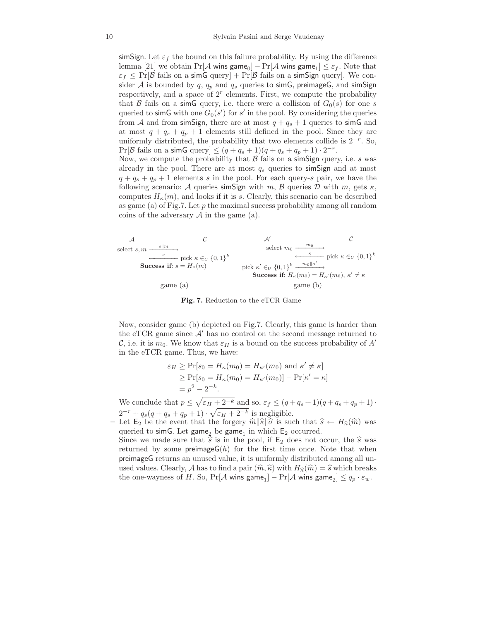simSign. Let  $\varepsilon_f$  the bound on this failure probability. By using the difference lemma [21] we obtain  $Pr[\mathcal{A}$  wins game<sub>0</sub>]  $- Pr[\mathcal{A}$  wins game<sub>1</sub>]  $\leq \varepsilon_f$ . Note that  $\varepsilon_f \leq \Pr[\mathcal{B} \text{ fails on a simG query}] + \Pr[\mathcal{B} \text{ fails on a simSign query}]$ . We consider A is bounded by  $q$ ,  $q_p$  and  $q_s$  queries to simG, preimageG, and simSign respectively, and a space of  $2<sup>r</sup>$  elements. First, we compute the probability that B fails on a simG query, i.e. there were a collision of  $G_0(s)$  for one s queried to simG with one  $G_0(s')$  for s' in the pool. By considering the queries from A and from simSign, there are at most  $q + q_s + 1$  queries to simG and at most  $q + q_s + q_p + 1$  elements still defined in the pool. Since they are uniformly distributed, the probability that two elements collide is  $2^{-r}$ . So,  $\Pr[\mathcal{B} \text{ fails on a } \text{simG query}] \leq (q + q_s + 1)(q + q_s + q_p + 1) \cdot 2^{-r}.$ 

Now, we compute the probability that  $\beta$  fails on a simSign query, i.e. s was already in the pool. There are at most  $q_s$  queries to simSign and at most  $q + q_s + q_p + 1$  elements s in the pool. For each query-s pair, we have the following scenario: A queries simSign with m, B queries D with m, gets  $\kappa$ , computes  $H_{\kappa}(m)$ , and looks if it is s. Clearly, this scenario can be described as game (a) of Fig.7. Let  $p$  the maximal success probability among all random coins of the adversary  $A$  in the game  $(a)$ .



Fig. 7. Reduction to the eTCR Game

Now, consider game (b) depicted on Fig.7. Clearly, this game is harder than the eTCR game since  $A'$  has no control on the second message returned to C, i.e. it is  $m_0$ . We know that  $\varepsilon_H$  is a bound on the success probability of A' in the eTCR game. Thus, we have:

$$
\varepsilon_H \ge \Pr[s_0 = H_{\kappa}(m_0) = H_{\kappa'}(m_0) \text{ and } \kappa' \ne \kappa]
$$
  
\n
$$
\ge \Pr[s_0 = H_{\kappa}(m_0) = H_{\kappa'}(m_0)] - \Pr[\kappa' = \kappa]
$$
  
\n
$$
= p^2 - 2^{-k}.
$$

We conclude that  $p \leq \sqrt{\varepsilon_H + 2^{-k}}$  and so,  $\varepsilon_f \leq (q + q_s + 1)(q + q_s + q_p + 1)$ .  $2^{-r} + q_s(q+q_s+q_p+1) \cdot \sqrt{\varepsilon_H+2^{-k}}$  is negligible.

– Let  $\mathsf{E}_2$  be the event that the forgery  $\hat{m} \|\hat{\kappa}\| \hat{\sigma}$  is such that  $\hat{s} \leftarrow H_{\hat{\kappa}}(\hat{m})$  was queried to simG. Let  $\mathsf{game}_2$  be  $\mathsf{game}_1$  in which  $\mathsf{E}_2$  occurred.

Since we made sure that  $\hat{s}$  is in the pool, if E<sub>2</sub> does not occur, the  $\hat{s}$  was returned by some **preimageG** $(h)$  for the first time once. Note that when preimageG returns an unused value, it is uniformly distributed among all unused values. Clearly, A has to find a pair  $(\hat{m}, \hat{\kappa})$  with  $H_{\hat{\kappa}}(\hat{m}) = \hat{s}$  which breaks the one-wayness of H. So,  $Pr[\mathcal{A}$  wins game<sub>1</sub>]  $- Pr[\mathcal{A}$  wins game<sub>2</sub>]  $\le q_p \cdot \varepsilon_w$ .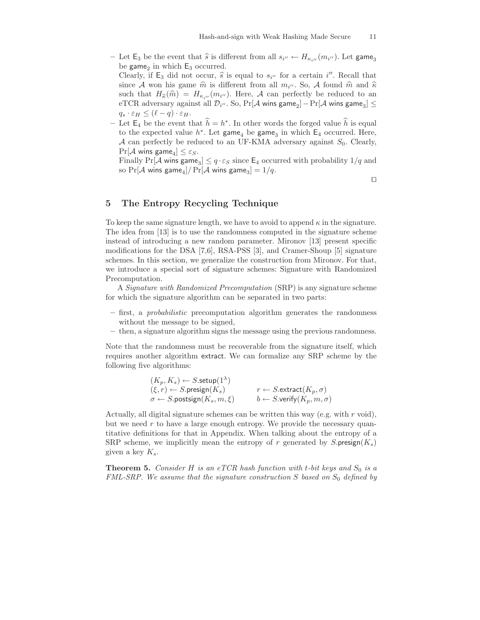– Let  $E_3$  be the event that  $\hat{s}$  is different from all  $s_{i'} \leftarrow H_{\kappa_{i'}}(m_{i'})$ . Let game<sub>3</sub><br>be now in which  $\Gamma$  accurant be  $\textsf{game}_2$  in which  $\textsf{E}_3$  occurred.

Clearly, if  $E_3$  did not occur,  $\hat{s}$  is equal to  $s_{i'}$  for a certain i''. Recall that since A won his game  $\hat{m}$  is different from all  $m_{i'}$ . So, A found  $\hat{m}$  and  $\hat{\kappa}$ such that  $H_{\widehat{\kappa}}(\widehat{m}) = H_{\kappa_{i'}(m_{i''})}$ . Here, A can perfectly be reduced to an eTCR adversary against all  $\mathcal{D}_{i''}$ . So,  $\Pr[\mathcal{A}$  wins game $_2] - \Pr[\mathcal{A}$  wins game $_3] \leq$  $q_s \cdot \varepsilon_H \leq (\ell - q) \cdot \varepsilon_H.$ 

– Let E<sub>4</sub> be the event that  $\hat{h} = h^*$ . In other words the forged value  $\hat{h}$  is equal to the expected value  $h^*$ . Let game<sub>4</sub> be game<sub>3</sub> in which  $\mathsf{E}_4$  occurred. Here, A can perfectly be reduced to an UF-KMA adversary against  $S_0$ . Clearly,  $Pr[\mathcal{A}$  wins game<sub>4</sub> $] \leq \varepsilon_S$ .

Finally Pr[ $\mathcal A$  wins game<sub>3</sub>]  $\leq q \cdot \varepsilon_S$  since E<sub>4</sub> occurred with probability 1/q and so  $Pr[\mathcal{A}$  wins game<sub>4</sub>]/ $Pr[\mathcal{A}$  wins game<sub>3</sub>] = 1/q.

⊓⊔

## 5 The Entropy Recycling Technique

To keep the same signature length, we have to avoid to append  $\kappa$  in the signature. The idea from [13] is to use the randomness computed in the signature scheme instead of introducing a new random parameter. Mironov [13] present specific modifications for the DSA [7,6], RSA-PSS [3], and Cramer-Shoup [5] signature schemes. In this section, we generalize the construction from Mironov. For that, we introduce a special sort of signature schemes: Signature with Randomized Precomputation.

A Signature with Randomized Precomputation (SRP) is any signature scheme for which the signature algorithm can be separated in two parts:

- first, a probabilistic precomputation algorithm generates the randomness without the message to be signed,
- then, a signature algorithm signs the message using the previous randomness.

Note that the randomness must be recoverable from the signature itself, which requires another algorithm extract. We can formalize any SRP scheme by the following five algorithms:

$$
(K_p, K_s) \leftarrow S.\mathtt{setup}(1^\lambda) (\xi, r) \leftarrow S.\mathtt{presign}(K_s) \qquad r \leftarrow S.\mathtt{extract}(K_p, \sigma) \sigma \leftarrow S.\mathtt{postsign}(K_s, m, \xi) \qquad b \leftarrow S.\mathtt{verify}(K_p, m, \sigma)
$$

Actually, all digital signature schemes can be written this way (e.g. with  $r$  void), but we need  $r$  to have a large enough entropy. We provide the necessary quantitative definitions for that in Appendix. When talking about the entropy of a SRP scheme, we implicitly mean the entropy of r generated by  $S$ -presign $(K_s)$ given a key  $K_s$ .

**Theorem 5.** Consider H is an eTCR hash function with t-bit keys and  $S_0$  is a FML-SRP. We assume that the signature construction S based on  $S_0$  defined by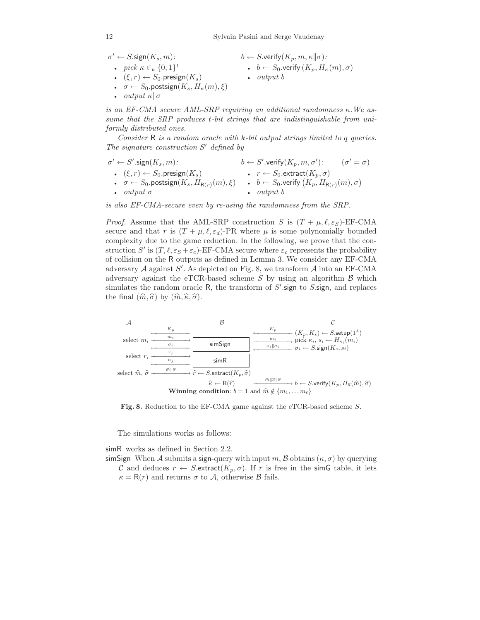12 Sylvain Pasini and Serge Vaudenay

 $\sigma' \leftarrow S.\textsf{sign}(K_s,m)$ :

- $pick \kappa \in \{0,1\}^t$
- $(\xi, r) \leftarrow S_0$ .presign $(K_s)$
- $\sigma \leftarrow S_0$ .postsign $(K_s, H_{\kappa}(m), \xi)$
- *output*  $\kappa$ ||σ

 $b \leftarrow S$ .verify $(K_p, m, \kappa || \sigma)$ : •  $b \leftarrow S_0$ . verify  $(K_p, H_{\kappa}(m), \sigma)$ • output b

is an EF-CMA secure AML-SRP requiring an additional randomness κ.We assume that the SRP produces t-bit strings that are indistinguishable from uniformly distributed ones.

Consider  $R$  is a random oracle with  $k$ -bit output strings limited to q queries. The signature construction  $S'$  defined by

| $\sigma' \leftarrow S'.\text{sign}(K_s, m)$ :                  | $b \leftarrow S'$ . verify $(K_p, m, \sigma')$ :<br>$(\sigma' = \sigma)$ |
|----------------------------------------------------------------|--------------------------------------------------------------------------|
| $\bullet \quad (\xi, r) \leftarrow S_0.\textsf{presign}(K_s)$  | • $r \leftarrow S_0$ . extract $(K_p, \sigma)$                           |
| • $\sigma \leftarrow S_0$ . postsign $(K_s, H_{R(r)}(m), \xi)$ | $\bullet \quad b \leftarrow S_0$ . verify $(K_p, H_{R(r)}(m), \sigma)$   |
| $\bullet$ output $\sigma$                                      | $\bullet$ output b                                                       |

is also EF-CMA-secure even by re-using the randomness from the SRP.

*Proof.* Assume that the AML-SRP construction S is  $(T + \mu, \ell, \varepsilon_S)$ -EF-CMA secure and that r is  $(T + \mu, \ell, \varepsilon_d)$ -PR where  $\mu$  is some polynomially bounded complexity due to the game reduction. In the following, we prove that the construction S' is  $(T, \ell, \varepsilon_S + \varepsilon_c)$ -EF-CMA secure where  $\varepsilon_c$  represents the probability of collision on the R outputs as defined in Lemma 3. We consider any EF-CMA adversary  $A$  against  $S'$ . As depicted on Fig. 8, we transform  $A$  into an EF-CMA adversary against the eTCR-based scheme  $S$  by using an algorithm  $\beta$  which simulates the random oracle  $R$ , the transform of  $S'$  sign to  $S$  sign, and replaces the final  $(\widehat{m}, \widehat{\sigma})$  by  $(\widehat{m}, \widehat{\kappa}, \widehat{\sigma})$ .



Fig. 8. Reduction to the EF-CMA game against the eTCR-based scheme S.

The simulations works as follows:

simR works as defined in Section 2.2.

simSign When A submits a sign-query with input m, B obtains  $(\kappa, \sigma)$  by querying C and deduces  $r \leftarrow S$ . extract $(K_p, \sigma)$ . If r is free in the simG table, it lets  $\kappa = R(r)$  and returns  $\sigma$  to A, otherwise B fails.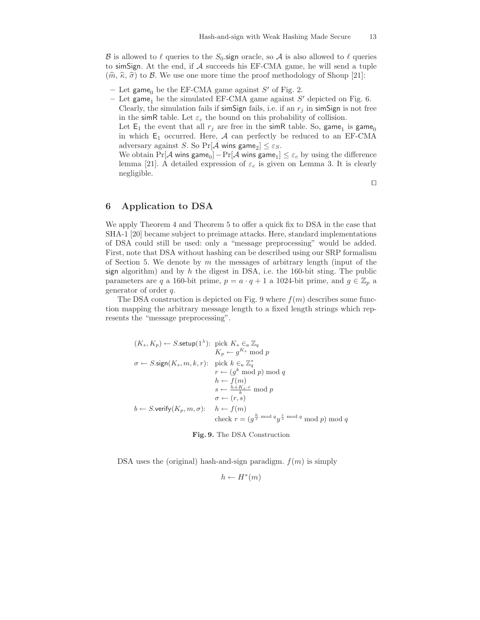B is allowed to  $\ell$  queries to the  $S_0$  sign oracle, so A is also allowed to  $\ell$  queries to simSign. At the end, if  $A$  succeeds his EF-CMA game, he will send a tuple  $(\hat{m}, \hat{\kappa}, \hat{\sigma})$  to B. We use one more time the proof methodology of Shoup [21]:

- Let  $\text{game}_0$  be the EF-CMA game against  $S'$  of Fig. 2.
- Let  $\text{game}_1$  be the simulated EF-CMA game against S' depicted on Fig. 6. Clearly, the simulation fails if simSign fails, i.e. if an  $r_j$  in simSign is not free in the simR table. Let  $\varepsilon_c$  the bound on this probability of collision.

Let  ${\sf E}_1$  the event that all  $r_j$  are free in the simR table. So, game<sub>1</sub> is game<sub>0</sub> in which  $E_1$  occurred. Here,  $A$  can perfectly be reduced to an EF-CMA adversary against S. So Pr[ $\mathcal A$  wins game<sub>2</sub>]  $\leq \varepsilon_S$ .

We obtain  $Pr[\mathcal{A}$  wins game<sub>0</sub>] –  $Pr[\mathcal{A}$  wins game<sub>1</sub>]  $\leq \varepsilon_c$  by using the difference lemma [21]. A detailed expression of  $\varepsilon_c$  is given on Lemma 3. It is clearly negligible.

⊓⊔

## 6 Application to DSA

We apply Theorem 4 and Theorem 5 to offer a quick fix to DSA in the case that SHA-1 [20] became subject to preimage attacks. Here, standard implementations of DSA could still be used: only a "message preprocessing" would be added. First, note that DSA without hashing can be described using our SRP formalism of Section 5. We denote by  $m$  the messages of arbitrary length (input of the sign algorithm) and by  $h$  the digest in DSA, i.e. the 160-bit sting. The public parameters are q a 160-bit prime,  $p = a \cdot q + 1$  a 1024-bit prime, and  $g \in \mathbb{Z}_p$  a generator of order q.

The DSA construction is depicted on Fig. 9 where  $f(m)$  describes some function mapping the arbitrary message length to a fixed length strings which represents the "message preprocessing".

$$
(K_s, K_p) \leftarrow S.\text{setup}(1^{\lambda})\text{: pick } K_s \in_u \mathbb{Z}_q
$$
  
\n
$$
K_p \leftarrow g^{K_s} \mod p
$$
  
\n
$$
\sigma \leftarrow S.\text{sign}(K_s, m, k, r)\text{: pick } k \in_u \mathbb{Z}_q^*
$$
  
\n
$$
r \leftarrow (g^k \mod p) \mod q
$$
  
\n
$$
h \leftarrow f(m)
$$
  
\n
$$
s \leftarrow \frac{h + K_s \cdot r}{k}
$$
  
\n
$$
b \leftarrow S.\text{verify}(K_p, m, \sigma)\text{: } h \leftarrow f(m)
$$
  
\n
$$
\text{check } r = (g^{\frac{h}{s} \mod q} y^{\frac{r}{s} \mod q} \mod p) \mod q
$$



DSA uses the (original) hash-and-sign paradigm.  $f(m)$  is simply

$$
h \leftarrow H^*(m)
$$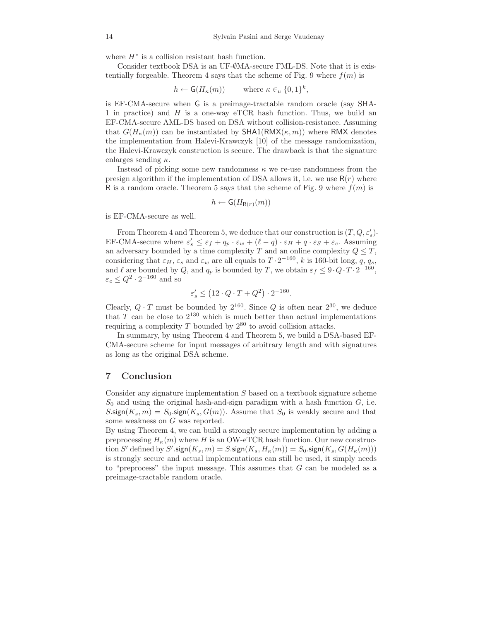where  $H^*$  is a collision resistant hash function.

Consider textbook DSA is an UF-∅MA-secure FML-DS. Note that it is existentially forgeable. Theorem 4 says that the scheme of Fig. 9 where  $f(m)$  is

$$
h \leftarrow \mathsf{G}(H_{\kappa}(m)) \qquad \text{where } \kappa \in_{\mathsf{u}} \{0,1\}^k,
$$

is EF-CMA-secure when G is a preimage-tractable random oracle (say SHA-1 in practice) and  $H$  is a one-way eTCR hash function. Thus, we build an EF-CMA-secure AML-DS based on DSA without collision-resistance. Assuming that  $G(H_{\kappa}(m))$  can be instantiated by  $SHA1(RMX(\kappa, m))$  where RMX denotes the implementation from Halevi-Krawczyk [10] of the message randomization, the Halevi-Krawczyk construction is secure. The drawback is that the signature enlarges sending  $\kappa$ .

Instead of picking some new randomness  $\kappa$  we re-use randomness from the presign algorithm if the implementation of DSA allows it, i.e. we use  $R(r)$  where R is a random oracle. Theorem 5 says that the scheme of Fig. 9 where  $f(m)$  is

$$
h \leftarrow \mathsf{G}(H_{\mathsf{R}(r)}(m))
$$

is EF-CMA-secure as well.

From Theorem 4 and Theorem 5, we deduce that our construction is  $(T, Q, \varepsilon_s')$ . EF-CMA-secure where  $\varepsilon'_s \leq \varepsilon_f + q_p \cdot \varepsilon_w + (\ell - q) \cdot \varepsilon_H + q \cdot \varepsilon_S + \varepsilon_c$ . Assuming an adversary bounded by a time complexity T and an online complexity  $Q \leq T$ , considering that  $\varepsilon_H$ ,  $\varepsilon_s$  and  $\varepsilon_w$  are all equals to  $T \cdot 2^{-160}$ , k is 160-bit long,  $q$ ,  $q_s$ and  $\ell$  are bounded by Q, and  $q_p$  is bounded by T, we obtain  $\varepsilon_f \leq 9 \cdot Q \cdot T \cdot 2^{-160}$ ,  $\varepsilon_c \leq Q^2 \cdot 2^{-160}$  and so

$$
\varepsilon_s' \le \left(12 \cdot Q \cdot T + Q^2\right) \cdot 2^{-160}.
$$

Clearly,  $Q \cdot T$  must be bounded by  $2^{160}$ . Since Q is often near  $2^{30}$ , we deduce that T can be close to  $2^{130}$  which is much better than actual implementations requiring a complexity T bounded by  $2^{80}$  to avoid collision attacks.

In summary, by using Theorem 4 and Theorem 5, we build a DSA-based EF-CMA-secure scheme for input messages of arbitrary length and with signatures as long as the original DSA scheme.

## 7 Conclusion

Consider any signature implementation  $S$  based on a textbook signature scheme  $S_0$  and using the original hash-and-sign paradigm with a hash function  $G$ , i.e.  $S \text{sign}(K_s, m) = S_0 \text{sign}(K_s, G(m))$ . Assume that  $S_0$  is weakly secure and that some weakness on G was reported.

By using Theorem 4, we can build a strongly secure implementation by adding a preprocessing  $H_{\kappa}(m)$  where H is an OW-eTCR hash function. Our new construction S' defined by  $S'$  sign $(K_s, m) = S$  sign $(K_s, H_{\kappa}(m)) = S_0$  sign $(K_s, G(H_{\kappa}(m)))$ is strongly secure and actual implementations can still be used, it simply needs to "preprocess" the input message. This assumes that  $G$  can be modeled as a preimage-tractable random oracle.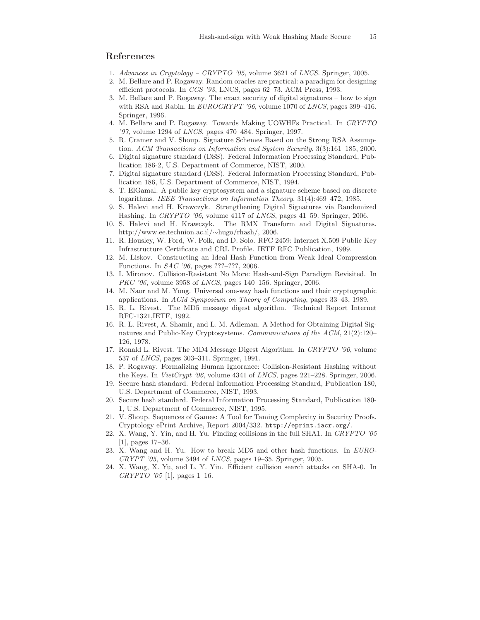## References

- 1. Advances in Cryptology CRYPTO '05, volume 3621 of LNCS. Springer, 2005.
- 2. M. Bellare and P. Rogaway. Random oracles are practical: a paradigm for designing efficient protocols. In CCS '93, LNCS, pages 62–73. ACM Press, 1993.
- 3. M. Bellare and P. Rogaway. The exact security of digital signatures how to sign with RSA and Rabin. In EUROCRYPT '96, volume 1070 of LNCS, pages 399-416. Springer, 1996.
- 4. M. Bellare and P. Rogaway. Towards Making UOWHFs Practical. In CRYPTO  $'97$ , volume 1294 of *LNCS*, pages  $470-484$ . Springer, 1997.
- 5. R. Cramer and V. Shoup. Signature Schemes Based on the Strong RSA Assumption. ACM Transactions on Information and System Security, 3(3):161–185, 2000.
- 6. Digital signature standard (DSS). Federal Information Processing Standard, Publication 186-2, U.S. Department of Commerce, NIST, 2000.
- 7. Digital signature standard (DSS). Federal Information Processing Standard, Publication 186, U.S. Department of Commerce, NIST, 1994.
- 8. T. ElGamal. A public key cryptosystem and a signature scheme based on discrete logarithms. IEEE Transactions on Information Theory, 31(4):469–472, 1985.
- 9. S. Halevi and H. Krawczyk. Strengthening Digital Signatures via Randomized Hashing. In CRYPTO '06, volume 4117 of LNCS, pages 41–59. Springer, 2006.
- 10. S. Halevi and H. Krawczyk. The RMX Transform and Digital Signatures. http://www.ee.technion.ac.il/∼hugo/rhash/, 2006.
- 11. R. Housley, W. Ford, W. Polk, and D. Solo. RFC 2459: Internet X.509 Public Key Infrastructure Certificate and CRL Profile. IETF RFC Publication, 1999.
- 12. M. Liskov. Constructing an Ideal Hash Function from Weak Ideal Compression Functions. In SAC '06, pages ???–???, 2006.
- 13. I. Mironov. Collision-Resistant No More: Hash-and-Sign Paradigm Revisited. In PKC '06, volume 3958 of LNCS, pages 140–156. Springer, 2006.
- 14. M. Naor and M. Yung. Universal one-way hash functions and their cryptographic applications. In ACM Symposium on Theory of Computing, pages 33–43, 1989.
- 15. R. L. Rivest. The MD5 message digest algorithm. Technical Report Internet RFC-1321,IETF, 1992.
- 16. R. L. Rivest, A. Shamir, and L. M. Adleman. A Method for Obtaining Digital Signatures and Public-Key Cryptosystems. Communications of the ACM, 21(2):120– 126, 1978.
- 17. Ronald L. Rivest. The MD4 Message Digest Algorithm. In CRYPTO '90, volume 537 of LNCS, pages 303–311. Springer, 1991.
- 18. P. Rogaway. Formalizing Human Ignorance: Collision-Resistant Hashing without the Keys. In VietCrypt '06, volume 4341 of LNCS, pages 221–228. Springer, 2006.
- 19. Secure hash standard. Federal Information Processing Standard, Publication 180, U.S. Department of Commerce, NIST, 1993.
- 20. Secure hash standard. Federal Information Processing Standard, Publication 180- 1, U.S. Department of Commerce, NIST, 1995.
- 21. V. Shoup. Sequences of Games: A Tool for Taming Complexity in Security Proofs. Cryptology ePrint Archive, Report 2004/332. http://eprint.iacr.org/.
- 22. X. Wang, Y. Yin, and H. Yu. Finding collisions in the full SHA1. In CRYPTO '05 [1], pages 17–36.
- 23. X. Wang and H. Yu. How to break MD5 and other hash functions. In EURO- $CRYPT$  '05, volume 3494 of *LNCS*, pages 19–35. Springer, 2005.
- 24. X. Wang, X. Yu, and L. Y. Yin. Efficient collision search attacks on SHA-0. In  $CRYPTO$  '05 [1], pages 1–16.